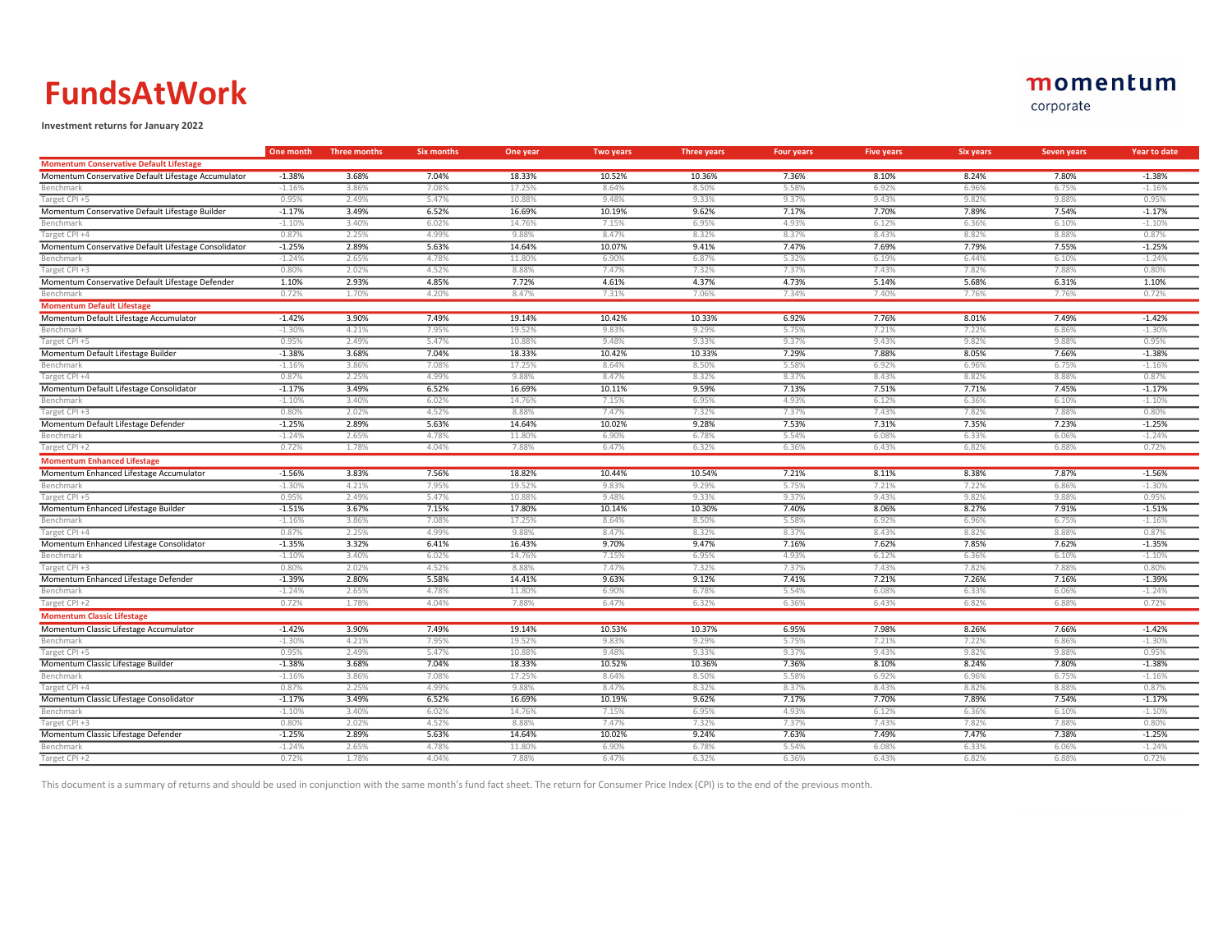## FundsAtWork

Investment returns for January 2022

|                                                      | One month | Three months | <b>Six months</b> | One year | <b>Two years</b> | <b>Three years</b> | <b>Four years</b> | <b>Five years</b> | <b>Six years</b> | <b>Seven years</b> | <b>Year to date</b> |
|------------------------------------------------------|-----------|--------------|-------------------|----------|------------------|--------------------|-------------------|-------------------|------------------|--------------------|---------------------|
| <b>Momentum Conservative Default Lifestage</b>       |           |              |                   |          |                  |                    |                   |                   |                  |                    |                     |
| Momentum Conservative Default Lifestage Accumulator  | $-1.38%$  | 3.68%        | 7.04%             | 18.33%   | 10.52%           | 10.36%             | 7.36%             | 8.10%             | 8.24%            | 7.80%              | $-1.38%$            |
| Benchmark                                            | $-1.16%$  | 3.86%        | 7.08%             | 17.25%   | 8.64%            | 8.50%              | 5.58%             | 6.92%             | 6.96%            | 6.75%              | $-1.16%$            |
| Target CPI +5                                        | 0.95%     | 2.49%        | 5.47%             | 10.88%   | 9.48%            | 9.33%              | 9.37%             | 9.43%             | 9.82%            | 9.88%              | 0.95%               |
| Momentum Conservative Default Lifestage Builder      | $-1.17%$  | 3.49%        | 6.52%             | 16.69%   | 10.19%           | 9.62%              | 7.17%             | 7.70%             | 7.89%            | 7.54%              | $-1.17%$            |
| Benchmark                                            | $-1.10%$  | 3.40%        | 6.02%             | 14.76%   | 7.15%            | 6.95%              | 4.93%             | 6.12%             | 6.36%            | 6.10%              | $-1.10%$            |
| Target CPI +4                                        | 0.87%     | 2.25%        | 4.99%             | 9.88%    | 8.47%            | 8.32%              | 8.37%             | 8.43%             | 8.82%            | 8.88%              | 0.87%               |
| Momentum Conservative Default Lifestage Consolidator | $-1.25%$  | 2.89%        | 5.63%             | 14.64%   | 10.07%           | 9.41%              | 7.47%             | 7.69%             | 7.79%            | 7.55%              | $-1.25%$            |
| Benchmark                                            | $-1.24%$  | 2.65%        | 4.78%             | 11.80%   | 6.90%            | 6.87%              | 5.32%             | 6.19%             | 6.44%            | 6.10%              | $-1.24%$            |
| Target CPI +3                                        | 0.80%     | 2.02%        | 4.52%             | 8.88%    | 7.47%            | 7.32%              | 7.37%             | 7.43%             | 7.82%            | 7.88%              | 0.80%               |
| Momentum Conservative Default Lifestage Defender     | 1.10%     | 2.93%        | 4.85%             | 7.72%    | 4.61%            | 4.37%              | 4.73%             | 5.14%             | 5.68%            | 6.31%              | 1.10%               |
| Benchmark                                            | 0.72%     | 1.70%        | 4.20%             | 8.47%    | 7.31%            | 7.06%              | 7.34%             | 7.40%             | 7.76%            | 7.76%              | 0.72%               |
| <b>Momentum Default Lifestage</b>                    |           |              |                   |          |                  |                    |                   |                   |                  |                    |                     |
| Momentum Default Lifestage Accumulator               | $-1.42%$  | 3.90%        | 7.49%             | 19.14%   | 10.42%           | 10.33%             | 6.92%             | 7.76%             | 8.01%            | 7.49%              | $-1.42%$            |
| Benchmark                                            | $-1.30%$  | 4.21%        | 7.95%             | 19.52%   | 9.83%            | 9.29%              | 5.75%             | 7.21%             | 7.22%            | 6.86%              | $-1.30%$            |
| Target CPI +5                                        | 0.95%     | 2.49%        | 5.47%             | 10.88%   | 9.48%            | 9.33%              | 9.37%             | 9.43%             | 9.82%            | 9.88%              | 0.95%               |
| Momentum Default Lifestage Builder                   | $-1.38%$  | 3.68%        | 7.04%             | 18.33%   | 10.42%           | 10.33%             | 7.29%             | 7.88%             | 8.05%            | 7.66%              | $-1.38%$            |
| Benchmark                                            | $-1.169$  | 3.86%        | 7.08%             | 17.25%   | 8.64%            | 8.50%              | 5.58%             | 6.92%             | 6.96%            | 6.75%              | $-1.16%$            |
| Target CPI +4                                        | 0.87%     | 2.25%        | 4.99%             | 9.88%    | 8.47%            | 8.32%              | 8.37%             | 8.43%             | 8.82%            | 8.88%              | 0.87%               |
| Momentum Default Lifestage Consolidator              | $-1.17%$  | 3.49%        | 6.52%             | 16.69%   | 10.11%           | 9.59%              | 7.13%             | 7.51%             | 7.71%            | 7.45%              | $-1.17%$            |
| Benchmarl                                            | $-1.109$  | 3.40%        | 6.02%             | 14.769   | 7.15%            | 6.95%              | 4.93%             | 6.12%             | 6.36%            | 6.10%              | $-1.10%$            |
| Target CPI +                                         | 0.80%     | 2.02%        | 4.52%             | 8.88%    | 7.47%            | 7.32%              | 7.37%             | 7.43%             | 7.82%            | 7.88%              | 0.80%               |
| Momentum Default Lifestage Defender                  | $-1.25%$  | 2.89%        | 5.63%             | 14.64%   | 10.02%           | 9.28%              | 7.53%             | 7.31%             | 7.35%            | 7.23%              | $-1.25%$            |
| Benchmark                                            | $-1.24%$  | 2.65%        | 4.78%             | 11.80%   | 6.90%            | 6.78%              | 5.54%             | 6.08%             | 6.33%            | 6.06%              | $-1.24%$            |
| Target CPI -                                         | 0.72%     | 1.78%        | 4.04%             | 7.88%    | 6.47%            | 6.32%              | 6.36%             | 6.43%             | 6.82%            | 6.88%              | 0.72%               |
| <b>Momentum Enhanced Lifestage</b>                   |           |              |                   |          |                  |                    |                   |                   |                  |                    |                     |
| Momentum Enhanced Lifestage Accumulator              | $-1.56%$  | 3.83%        | 7.56%             | 18.82%   | 10.44%           | 10.54%             | 7.21%             | 8.11%             | 8.38%            | 7.87%              | $-1.56%$            |
| Benchmark                                            | $-1.30%$  | 4.21%        | 7.95%             | 19.52%   | 9.83%            | 9.29%              | 5.75%             | 7.21%             | 7.22%            | 6.86%              | $-1.30%$            |
| Target CPI +5                                        | 0.95%     | 2.49%        | 5.47%             | 10.889   | 9.48%            | 9.33%              | 9.37%             | 9.43%             | 9.82%            | 9.88%              | 0.95%               |
| Momentum Enhanced Lifestage Builder                  | $-1.51%$  | 3.67%        | 7.15%             | 17.80%   | 10.14%           | 10.30%             | 7.40%             | 8.06%             | 8.27%            | 7.91%              | $-1.51%$            |
| Benchmarl                                            | $-1.169$  | 3.86%        | 7.08%             | 17.259   | 8.64%            | 8.50%              | 5.58%             | 6.92%             | 6.96%            | 6.75%              | $-1.16%$            |
| Target CPI +4                                        | 0.879     | 2.25%        | 4.99%             | 9.88%    | 8.47%            | 8.32%              | 8.37%             | 8.43%             | 8.82%            | 8.88%              | 0.87%               |
| Momentum Enhanced Lifestage Consolidator             | $-1.35%$  | 3.32%        | 6.41%             | 16.43%   | 9.70%            | 9.47%              | 7.16%             | 7.62%             | 7.85%            | 7.62%              | $-1.35%$            |
| Benchmark                                            | $-1.10%$  | 3.40%        | 6.02%             | 14.76%   | 7.15%            | 6.95%              | 4.93%             | 6.12%             | 6.36%            | 6.10%              | $-1.10%$            |
| Target CPI +3                                        | 0.80%     | 2.02%        | 4.52%             | 8.88%    | 7.47%            | 7.32%              | 7.37%             | 7.43%             | 7.82%            | 7.88%              | 0.80%               |
| Momentum Enhanced Lifestage Defender                 | $-1.39%$  | 2.80%        | 5.58%             | 14.41%   | 9.63%            | 9.12%              | 7.41%             | 7.21%             | 7.26%            | 7.16%              | $-1.39%$            |
| Benchmark                                            | $-1.249$  | 2.65%        | 4.78%             | 11.80%   | 6.90%            | 6.78%              | 5.54%             | 6.08%             | 6.33%            | 6.06%              | $-1.24%$            |
| Target CPI +2                                        | 0.72%     | 1.78%        | 4.04%             | 7.88%    | 6.47%            | 6.32%              | 6.36%             | 6.43%             | 6.82%            | 6.88%              | 0.72%               |
| <b>Momentum Classic Lifestage</b>                    |           |              |                   |          |                  |                    |                   |                   |                  |                    |                     |
| Momentum Classic Lifestage Accumulator               | $-1.42%$  | 3.90%        | 7.49%             | 19.14%   | 10.53%           | 10.37%             | 6.95%             | 7.98%             | 8.26%            | 7.66%              | $-1.42%$            |
| Benchmarl                                            | $-1.309$  | 4.21%        | 7.95%             | 19.52%   | 9.83%            | 9.29%              | 5.75%             | 7.21%             | 7.22%            | 6.86%              | $-1.30%$            |
| Target CPI +!                                        | 0.95%     | 2.49%        | 5.47%             | 10.889   | 9.48%            | 9.33%              | 9.37%             | 9.43%             | 9.82%            | 9.88%              | 0.95%               |
| Momentum Classic Lifestage Builder                   | $-1.38%$  | 3.68%        | 7.04%             | 18.33%   | 10.52%           | 10.36%             | 7.36%             | 8.10%             | 8.24%            | 7.80%              | $-1.38%$            |
| Benchmark                                            | $-1.169$  | 3.86%        | 7.08%             | 17.259   | 8.64%            | 8.50%              | 5.58%             | 6.92%             | 6.96%            | 6.75%              | $-1.16%$            |
| Target CPI +4                                        | 0.879     | 2.25%        | 4.99%             | 9.88%    | 8.47%            | 8.32%              | 8.37%             | 8.43%             | 8.82%            | 8.88%              | 0.87%               |
| Momentum Classic Lifestage Consolidator              | $-1.17%$  | 3.49%        | 6.52%             | 16.69%   | 10.19%           | 9.62%              | 7.17%             | 7.70%             | 7.89%            | 7.54%              | $-1.17%$            |
| Benchmark                                            | $-1.10%$  | 3.40%        | 6.02%             | 14.76%   | 7.15%            | 6.95%              | 4.93%             | 6.12%             | 6.36%            | 6.10%              | $-1.10%$            |
| Target CPI +3                                        | 0.80%     | 2.02%        | 4.52%             | 8.88%    | 7.47%            | 7.32%              | 7.37%             | 7.43%             | 7.82%            | 7.88%              | 0.80%               |
| Momentum Classic Lifestage Defender                  | $-1.25%$  | 2.89%        | 5.63%             | 14.64%   | 10.02%           | 9.24%              | 7.63%             | 7.49%             | 7.47%            | 7.38%              | $-1.25%$            |
| Benchmark                                            | $-1.249$  | 2.65%        | 4.78%             | 11.80%   | 6.90%            | 6.78%              | 5.54%             | 6.08%             | 6.33%            | 6.06%              | $-1.24%$            |
| Target CPI +2                                        | 0.72%     | 1.78%        | 4.04%             | 7.88%    | 6.47%            | 6.32%              | 6.36%             | 6.43%             | 6.82%            | 6.88%              | 0.72%               |
|                                                      |           |              |                   |          |                  |                    |                   |                   |                  |                    |                     |

This document is a summary of returns and should be used in conjunction with the same month's fund fact sheet. The return for Consumer Price Index (CPI) is to the end of the previous month.

### momentum

corporate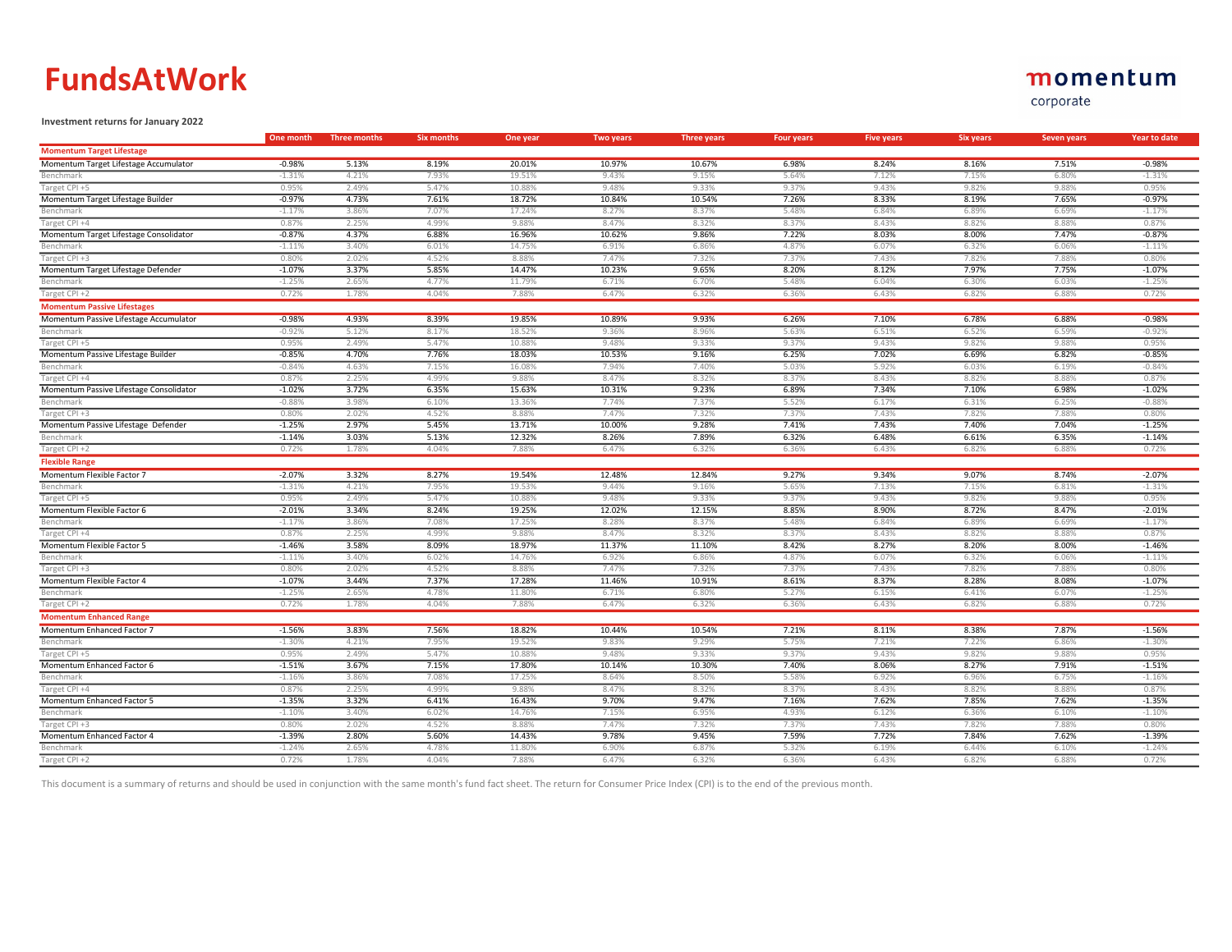# FundsAtWork

### momentum

corporate

#### Investment returns for January 2022

|                                         | One month            | <b>Three months</b> | <b>Six months</b> | One year         | <b>Two years</b> | <b>Three years</b> | <b>Four years</b> | <b>Five years</b> | <b>Six years</b> | <b>Seven years</b> | Year to date      |
|-----------------------------------------|----------------------|---------------------|-------------------|------------------|------------------|--------------------|-------------------|-------------------|------------------|--------------------|-------------------|
| <b>Momentum Target Lifestage</b>        |                      |                     |                   |                  |                  |                    |                   |                   |                  |                    |                   |
| Momentum Target Lifestage Accumulator   | $-0.98%$             | 5.13%               | 8.19%             | 20.01%           | 10.97%           | 10.67%             | 6.98%             | 8.24%             | 8.16%            | 7.51%              | $-0.98%$          |
| Benchmarl                               | $-1.31%$             | 4.21%               | 7.93%             | 19.51%           | 9.43%            | 9.15%              | 5.64%             | 7.12%             | 7.15%            | 6.80%              | $-1.319$          |
| Target CPI +5                           | 0.95%                | 2.49%               | 5.47%             | 10.88%           | 9.48%            | 9.33%              | 9.37%             | 9.43%             | 9.82%            | 9.88%              | 0.95%             |
| Momentum Target Lifestage Builder       | $-0.97%$             | 4.73%               | 7.61%             | 18.72%           | 10.84%           | 10.54%             | 7.26%             | 8.33%             | 8.19%            | 7.65%              | $-0.97%$          |
| Benchmark                               | $-1.17%$             | 3.86%               | 7.07%             | 17.24%           | 8.27%            | 8.37%              | 5.48%             | 6.84%             | 6.89%            | 6.69%              | $-1.17%$          |
| Target CPI +4                           | 0.87%                | 2.25%               | 4.99%             | 9.88%            | 8.47%            | 8.32%              | 8.37%             | 8.43%             | 8.82%            | 8.88%              | 0.87%             |
| Momentum Target Lifestage Consolidator  | $-0.87%$             | 4.37%               | 6.88%             | 16.96%           | 10.62%           | 9.86%              | 7.22%             | 8.03%             | 8.00%            | 7.47%              | $-0.87%$          |
| Benchmark                               | $-1.11%$             | 3.40%               | 6.01%             | 14.75%           | 6.91%            | 6.86%              | 4.87%             | 6.07%             | 6.32%            | 6.06%              | $-1.119$          |
| Target CPI +3                           | 0.80%                | 2.02%               | 4.52%             | 8.88%            | 7.47%            | 7.32%              | 7.37%             | 7.43%             | 7.82%            | 7.88%              | 0.80%             |
| Momentum Target Lifestage Defender      | $-1.07%$             | 3.37%               | 5.85%             | 14.47%           | 10.23%           | 9.65%              | 8.20%             | 8.12%             | 7.97%            | 7.75%              | $-1.07%$          |
| Benchmark                               | $-1.25%$             | 2.65%               | 4.77%             | 11.79%           | 6.71%            | 6.70%              | 5.48%             | 6.04%             | 6.30%            | 6.03%              | $-1.259$          |
| Target CPI +2                           | 0.72%                | 1.78%               | 4.04%             | 7.88%            | 6.47%            | 6.32%              | 6.36%             | 6.43%             | 6.82%            | 6.88%              | 0.72%             |
| <b>Momentum Passive Lifestages</b>      |                      |                     |                   |                  |                  |                    |                   |                   |                  |                    |                   |
| Momentum Passive Lifestage Accumulator  | $-0.98%$             | 4.93%               | 8.39%             | 19.85%           | 10.89%           | 9.93%              | 6.26%             | 7.10%             | 6.78%            | 6.88%              | $-0.98%$          |
| Benchmark                               | $-0.92%$             | 5.12%               | 8.17%             | 18.52%           | 9.36%            | 8.96%              | 5.63%             | 6.51%             | 6.52%            | 6.59%              | $-0.92%$          |
| Target CPI +!                           | 0.95%                | 2.49%               | 5.47%             | 10.88%           | 9.48%            | 9.33%              | 9.37%             | 9.43%             | 9.82%            | 9.88%              | 0.95%             |
| Momentum Passive Lifestage Builder      | $-0.85%$             | 4.70%               | 7.76%             | 18.03%           | 10.53%           | 9.16%              | 6.25%             | 7.02%             | 6.69%            | 6.82%              | $-0.85%$          |
| Benchmark                               | $-0.84%$             | 4.63%               | 7.15%             | 16.08%           | 7.94%            | 7.40%              | 5.03%             | 5.92%             | 6.03%            | 6.19%              | $-0.84%$          |
| Target CPI +4                           | 0.87%                | 2.25%               | 4.99%             | 9.88%            | 8.47%            | 8.32%              | 8.37%             | 8.43%             | 8.82%            | 8.88%              | 0.87%             |
| Momentum Passive Lifestage Consolidator | $-1.02%$             | 3.72%               | 6.35%             | 15.63%           | 10.31%           | 9.23%              | 6.89%             | 7.34%             | 7.10%            | 6.98%              | $-1.02%$          |
| Benchmark                               | $-0.88%$             | 3.98%               | 6.10%             | 13.36%           | 7.74%            | 7.37%              | 5.52%             | 6.17%             | 6.31%            | 6.25%              | $-0.889$          |
| Target CPI +3                           | 0.80%                | 2.02%               | 4.52%             | 8.88%            | 7.47%            | 7.32%              | 7.37%             | 7.43%             | 7.82%            | 7.88%              | 0.80%             |
| Momentum Passive Lifestage Defender     | $-1.25%$             | 2.97%               | 5.45%             | 13.71%           | 10.00%           | 9.28%              | 7.41%             | 7.43%             | 7.40%            | 7.04%              | $-1.25%$          |
| Benchmark                               | $-1.14%$             | 3.03%               | 5.13%             | 12.32%           | 8.26%            | 7.89%              | 6.32%             | 6.48%             | 6.61%            | 6.35%              | $-1.14%$          |
| Target CPI +:                           | 0.72%                | 1.78%               | 4.04%             | 7.88%            | 6.47%            | 6.32%              | 6.36%             | 6.43%             | 6.82%            | 6.88%              | 0.72%             |
|                                         |                      |                     |                   |                  |                  |                    |                   |                   |                  |                    |                   |
| <b>Flexible Range</b>                   |                      |                     |                   |                  |                  |                    |                   |                   |                  |                    | $-2.07%$          |
| Momentum Flexible Factor 7              | $-2.07%$             | 3.32%               | 8.27%             | 19.54%           | 12.48%           | 12.84%             | 9.27%             | 9.34%             | 9.07%            | 8.74%              |                   |
| Benchmark                               | $-1.31%$             | 4.21%               | 7.95%             | 19.53%           | 9.44%            | 9.16%              | 5.65%             | 7.13%             | 7.15%            | 6.81%              | $-1.319$          |
| Target CPI +5                           | 0.95%                | 2.49%               | 5.47%             | 10.88%           | 9.48%            | 9.33%              | 9.37%             | 9.43%             | 9.82%            | 9.88%              | 0.95%             |
| Momentum Flexible Factor 6              | $-2.01%$             | 3.34%               | 8.24%             | 19.25%           | 12.02%           | 12.15%             | 8.85%             | 8.90%             | 8.72%            | 8.47%              | $-2.01%$          |
| Benchmark                               | $-1.17%$             | 3.86%               | 7.08%             | 17.25%           | 8.28%            | 8.37%              | 5.48%             | 6.84%             | 6.89%            | 6.69%              | $-1.179$          |
| Target CPI +4                           | 0.87%                | 2.25%               | 4.99%             | 9.88%            | 8.47%            | 8.32%              | 8.37%             | 8.43%             | 8.82%            | 8.88%              | 0.87%             |
| Momentum Flexible Factor 5              | $-1.46%$             | 3.58%               | 8.09%             | 18.97%           | 11.37%           | 11.10%             | 8.42%             | 8.27%             | 8.20%            | 8.00%              | $-1.46%$          |
| Benchmark                               | $-1.11%$             | 3.40%               | 6.02%             | 14.76%           | 6.92%            | 6.86%              | 4.87%             | 6.07%             | 6.32%            | 6.06%              | $-1.11%$          |
| Target CPI +3                           | 0.80%                | 2.02%<br>3.44%      | 4.52%<br>7.37%    | 8.88%            | 7.47%            | 7.32%<br>10.91%    | 7.37%<br>8.61%    | 7.43%<br>8.37%    | 7.82%            | 7.88%              | 0.80%<br>$-1.07%$ |
| Momentum Flexible Factor 4              | $-1.07%$<br>$-1.25%$ |                     | 4.78%             | 17.28%<br>11.80% | 11.46%<br>6.71%  | 6.80%              |                   | 6.15%             | 8.28%<br>6.41%   | 8.08%<br>6.07%     | $-1.25%$          |
| Benchmark                               | 0.72%                | 2.65%               | 4.04%             |                  |                  |                    | 5.27%             |                   | 6.82%            | 6.88%              | 0.72%             |
| Target CPI +2                           |                      | 1.78%               |                   | 7.88%            | 6.47%            | 6.32%              | 6.36%             | 6.43%             |                  |                    |                   |
| <b>Momentum Enhanced Range</b>          |                      |                     |                   |                  |                  |                    |                   |                   |                  |                    |                   |
| Momentum Enhanced Factor 7              | $-1.56%$             | 3.83%               | 7.56%             | 18.82%           | 10.44%           | 10.54%             | 7.21%             | 8.11%             | 8.38%            | 7.87%              | $-1.56%$          |
| Benchmark                               | $-1.30%$             | 4.21%               | 7.95%             | 19.52%           | 9.83%            | 9.29%              | 5.75%             | 7.21%             | 7.22%            | 6.86%              | $-1.30%$          |
| Target CPI +5                           | 0.95%                | 2.49%               | 5.47%             | 10.88%           | 9.48%            | 9.33%              | 9.37%             | 9.43%             | 9.82%            | 9.88%              | 0.95%             |
| Momentum Enhanced Factor 6              | $-1.51%$             | 3.67%               | 7.15%             | 17.80%           | 10.14%           | 10.30%             | 7.40%             | 8.06%             | 8.27%            | 7.91%              | $-1.51%$          |
| Benchmark                               | $-1.16%$             | 3.86%               | 7.08%             | 17.25%           | 8.64%            | 8.50%              | 5.58%             | 6.92%             | 6.96%            | 6.75%              | $-1.16%$          |
| Target CPI +4                           | 0.87%                | 2.25%               | 4.99%             | 9.88%            | 8.47%            | 8.32%              | 8.37%             | 8.43%             | 8.82%            | 8.88%              | 0.87%             |
| Momentum Enhanced Factor 5              | $-1.35%$             | 3.32%               | 6.41%             | 16.43%           | 9.70%            | 9.47%              | 7.16%             | 7.62%             | 7.85%            | 7.62%              | $-1.35%$          |
| Benchmark                               | $-1.10%$             | 3.40%               | 6.02%             | 14.76%           | 7.15%            | 6.95%              | 4.93%             | 6.12%             | 6.36%            | 6.10%              | $-1.109$          |
| Target CPI +3                           | 0.80%                | 2.02%               | 4.52%             | 8.88%            | 7.47%            | 7.32%              | 7.37%             | 7.43%             | 7.82%            | 7.88%              | 0.80%             |
| Momentum Enhanced Factor 4              | $-1.39%$             | 2.80%               | 5.60%             | 14.43%           | 9.78%            | 9.45%              | 7.59%             | 7.72%             | 7.84%            | 7.62%              | $-1.39%$          |
| Benchmark                               | $-1.24%$             | 2.65%               | 4.78%             | 11.80%           | 6.90%            | 6.87%              | 5.32%             | 6.19%             | 6.44%            | 6.10%              | $-1.24%$          |
| Target CPI +2                           | 0.72%                | 1.78%               | 4.04%             | 7.88%            | 6.47%            | 6.32%              | 6.36%             | 6.43%             | 6.82%            | 6.88%              | 0.72%             |

This document is a summary of returns and should be used in conjunction with the same month's fund fact sheet. The return for Consumer Price Index (CPI) is to the end of the previous month.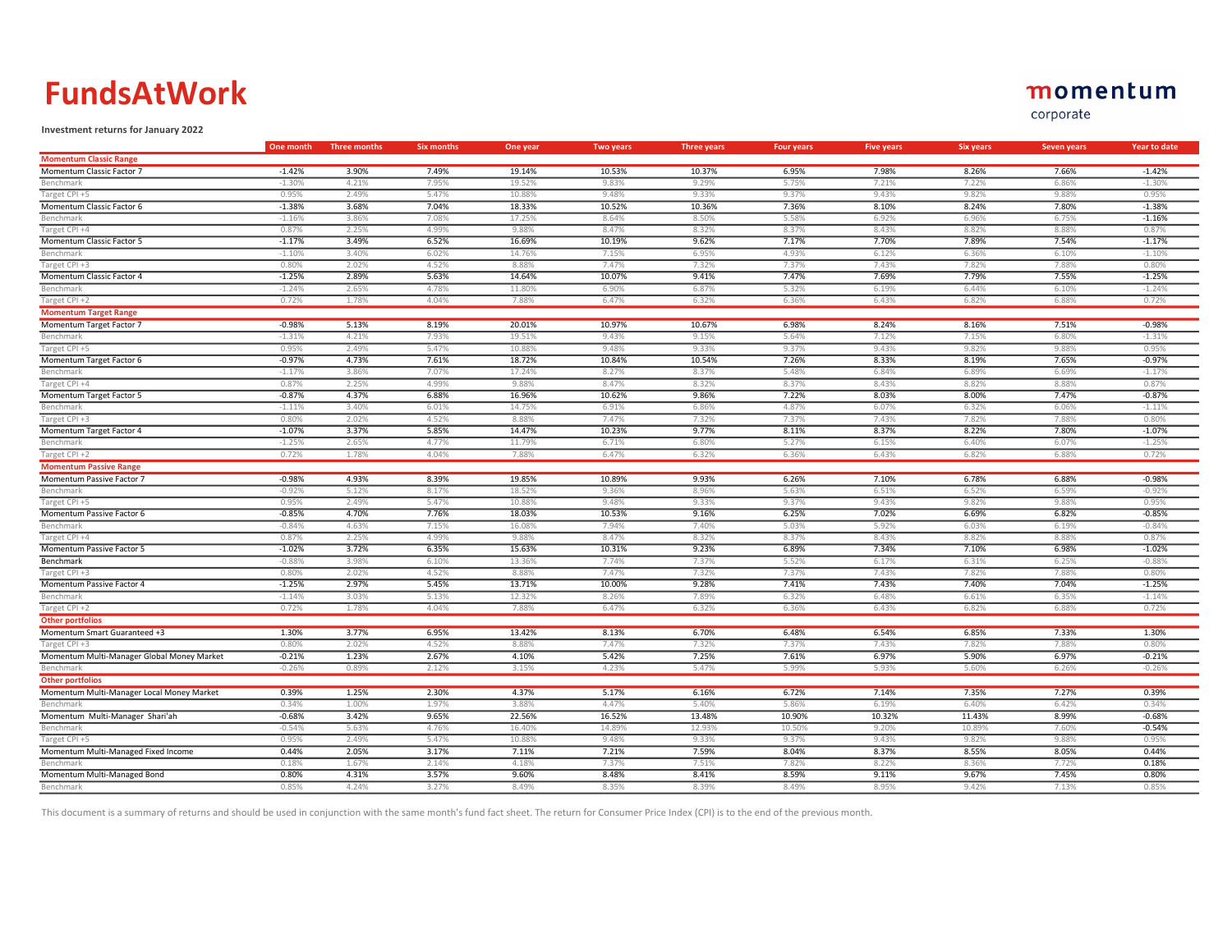# FundsAtWork

Investment returns for January 2022

|                                            | One month | <b>Three months</b> | <b>Six months</b> | One year | <b>Two years</b> | <b>Three years</b> | <b>Four years</b> | <b>Five years</b> | <b>Six years</b> | <b>Seven years</b> | <b>Year to date</b> |
|--------------------------------------------|-----------|---------------------|-------------------|----------|------------------|--------------------|-------------------|-------------------|------------------|--------------------|---------------------|
| <b>Momentum Classic Range</b>              |           |                     |                   |          |                  |                    |                   |                   |                  |                    |                     |
| Momentum Classic Factor 7                  | $-1.42%$  | 3.90%               | 7.49%             | 19.14%   | 10.53%           | 10.37%             | 6.95%             | 7.98%             | 8.26%            | 7.66%              | $-1.42%$            |
| Benchmark                                  | $-1.30%$  | 4.21%               | 7.95%             | 19.52%   | 9.83%            | 9.29%              | 5.75%             | 7.21%             | 7.22%            | 6.86%              | $-1.30%$            |
| Target CPI +5                              | 0.95%     | 2.49%               | 5.47%             | 10.88%   | 9.48%            | 9.33%              | 9.37%             | 9.43%             | 9.82%            | 9.88%              | 0.95%               |
| Momentum Classic Factor 6                  | $-1.38%$  | 3.68%               | 7.04%             | 18.33%   | 10.52%           | 10.36%             | 7.36%             | 8.10%             | 8.24%            | 7.80%              | $-1.38%$            |
| Benchmark                                  | $-1.16%$  | 3.86%               | 7.08%             | 17.25%   | 8.64%            | 8.50%              | 5.58%             | 6.92%             | 6.96%            | 6.75%              | $-1.16%$            |
| Target CPI +4                              | 0.87%     | 2.25%               | 4.99%             | 9.88%    | 8.47%            | 8.32%              | 8.37%             | 8.43%             | 8.82%            | 8.88%              | 0.87%               |
| Momentum Classic Factor 5                  | $-1.17%$  | 3.49%               | 6.52%             | 16.69%   | 10.19%           | 9.62%              | 7.17%             | 7.70%             | 7.89%            | 7.54%              | $-1.17%$            |
| Benchmark                                  | $-1.109$  | 3.40%               | 6.02%             | 14.76%   | 7.15%            | 6.95%              | 4.93%             | 6.12%             | 6.36%            | 6.10%              | $-1.109$            |
| Target CPI +3                              | 0.80%     | 2.02%               | 4.52%             | 8.88%    | 7.47%            | 7.32%              | 7.37%             | 7.43%             | 7.82%            | 7.88%              | 0.80%               |
| Momentum Classic Factor 4                  | $-1.25%$  | 2.89%               | 5.63%             | 14.64%   | 10.07%           | 9.41%              | 7.47%             | 7.69%             | 7.79%            | 7.55%              | $-1.25%$            |
| Benchmark                                  | $-1.24%$  | 2.65%               | 4.78%             | 11.80%   | 6.90%            | 6.87%              | 5.32%             | 6.19%             | 6.44%            | 6.10%              | $-1.24%$            |
| Target CPI +2                              | 0.72%     | 1.78%               | 4.04%             | 7.88%    | 6.47%            | 6.32%              | 6.36%             | 6.43%             | 6.82%            | 6.88%              | 0.72%               |
| <b>Momentum Target Range</b>               |           |                     |                   |          |                  |                    |                   |                   |                  |                    |                     |
| Momentum Target Factor 7                   | $-0.98%$  | 5.13%               | 8.19%             | 20.01%   | 10.97%           | 10.67%             | 6.98%             | 8.24%             | 8.16%            | 7.51%              | $-0.98%$            |
| Benchmarl                                  | $-1.319$  | 4.21%               | 7.93%             | 19.51%   | 9.43%            | 9.15%              | 5.64%             | 7.12%             | 7.15%            | 6.80%              | $-1.319$            |
| Target CPI +5                              | 0.95%     | 2.49%               | 5.47%             | 10.88%   | 9.48%            | 9.33%              | 9.37%             | 9.43%             | 9.82%            | 9.88%              | 0.95%               |
| Momentum Target Factor 6                   | $-0.97%$  | 4.73%               | 7.61%             | 18.72%   | 10.84%           | 10.54%             | 7.26%             | 8.33%             | 8.19%            | 7.65%              | $-0.97%$            |
| Benchmarl                                  | $-1.179$  | 3.869               | 7.07%             | 17.24%   | 8.27%            | 8.37%              | 5.48%             | 6.84%             | 6.89%            | 6.69%              | $-1.17%$            |
| Target CPI +4                              | 0.87%     | 2.25%               | 4.99%             | 9.88%    | 8.47%            | 8.32%              | 8.37%             | 8.43%             | 8.82%            | 8.88%              | 0.87%               |
| Momentum Target Factor 5                   | $-0.87%$  | 4.37%               | 6.88%             | 16.96%   | 10.62%           | 9.86%              | 7.22%             | 8.03%             | 8.00%            | 7.47%              | $-0.87%$            |
| Benchmarl                                  | $-1.119$  | 3.40%               | 6.019             | 14.75%   | 6.91%            | 6.869              | 4.87%             | 6.07%             | 6.32%            | 6.069              | $-1.11%$            |
| Target CPI +3                              | 0.80%     | 2.02%               | 4.52%             | 8.88%    | 7.47%            | 7.32%              | 7.37%             | 7.43%             | 7.82%            | 7.88%              | 0.80%               |
| Momentum Target Factor 4                   | $-1.07%$  | 3.37%               | 5.85%             | 14.47%   | 10.23%           | 9.77%              | 8.11%             | 8.37%             | 8.22%            | 7.80%              | $-1.07%$            |
| Benchmark                                  | $-1.25%$  | 2.65%               | 4.77%             | 11.79%   | 6.71%            | 6.80%              | 5.27%             | 6.15%             | 6.40%            | 6.07%              | $-1.25%$            |
| Target CPI +2                              | 0.72%     | 1.78%               | 4.04%             | 7.88%    | 6.47%            | 6.32%              | 6.36%             | 6.43%             | 6.82%            | 6.88%              | 0.72%               |
| <b>Momentum Passive Range</b>              |           |                     |                   |          |                  |                    |                   |                   |                  |                    |                     |
| Momentum Passive Factor 7                  | $-0.98%$  | 4.93%               | 8.39%             | 19.85%   | 10.89%           | 9.93%              | 6.26%             | 7.10%             | 6.78%            | 6.88%              | $-0.98%$            |
| Benchmark                                  | $-0.92%$  | 5.12%               | 8.17%             | 18.52%   | 9.36%            | 8.96%              | 5.63%             | 6.51%             | 6.52%            | 6.59%              | $-0.92%$            |
| Target CPI +5                              | 0.95%     | 2.49%               | 5.47%             | 10.88%   | 9.48%            | 9.33%              | 9.37%             | 9.43%             | 9.82%            | 9.88%              | 0.95%               |
| Momentum Passive Factor 6                  | $-0.85%$  | 4.70%               | 7.76%             | 18.03%   | 10.53%           | 9.16%              | 6.25%             | 7.02%             | 6.69%            | 6.82%              | $-0.85%$            |
| Benchmark                                  | $-0.84%$  | 4.63%               | 7.15%             | 16.08%   | 7.94%            | 7.40%              | 5.03%             | 5.92%             | 6.03%            | 6.19%              | $-0.84%$            |
| Target CPI +4                              | 0.87%     | 2.25%               | 4.99%             | 9.88%    | 8.47%            | 8.32%              | 8.37%             | 8.43%             | 8.82%            | 8.88%              | 0.87%               |
| Momentum Passive Factor 5                  | $-1.02%$  | 3.72%               | 6.35%             | 15.63%   | 10.31%           | 9.23%              | 6.89%             | 7.34%             | 7.10%            | 6.98%              | $-1.02%$            |
| Benchmark                                  | $-0.88%$  | 3.98%               | 6.10%             | 13.36%   | 7.74%            | 7.37%              | 5.52%             | 6.17%             | 6.31%            | 6.25%              | $-0.889$            |
| Target CPI +3                              | 0.80%     | 2.02%               | 4.52%             | 8.88%    | 7.47%            | 7.32%              | 7.37%             | 7.43%             | 7.82%            | 7.88%              | 0.80%               |
| Momentum Passive Factor 4                  | $-1.25%$  | 2.97%               | 5.45%             | 13.71%   | 10.00%           | 9.28%              | 7.41%             | 7.43%             | 7.40%            | 7.04%              | $-1.25%$            |
| Benchmark                                  | $-1.149$  | 3.03%               | 5.13%             | 12.32%   | 8.26%            | 7.89%              | 6.32%             | 6.48%             | 6.61%            | 6.35%              | $-1.14%$            |
| Target CPI +2                              | 0.72%     | 1.78%               | 4.04%             | 7.88%    | 6.47%            | 6.32%              | 6.36%             | 6.43%             | 6.82%            | 6.88%              | 0.72%               |
| <b>Other portfolios</b>                    |           |                     |                   |          |                  |                    |                   |                   |                  |                    |                     |
| Momentum Smart Guaranteed +3               | 1.30%     | 3.77%               | 6.95%             | 13.42%   | 8.13%            | 6.70%              | 6.48%             | 6.54%             | 6.85%            | 7.33%              | 1.30%               |
| Target CPI +3                              | 0.80%     | 2.02%               | 4.52%             | 8.88%    | 7.47%            | 7.32%              | 7.37%             | 7.43%             | 7.82%            | 7.88%              | 0.80%               |
| Momentum Multi-Manager Global Money Market | $-0.21%$  | 1.23%               | 2.67%             | 4.10%    | 5.42%            | 7.25%              | 7.61%             | 6.97%             | 5.90%            | 6.97%              | $-0.21%$            |
| Benchmarl                                  | $-0.26%$  | 0.89%               | 2.12%             | 3.15%    | 4.23%            | 5.47%              | 5.99%             | 5.93%             | 5.60%            | 6.26%              | $-0.269$            |
| <b>Other portfolios</b>                    |           |                     |                   |          |                  |                    |                   |                   |                  |                    |                     |
| Momentum Multi-Manager Local Money Market  | 0.39%     | 1.25%               | 2.30%             | 4.37%    | 5.17%            | 6.16%              | 6.72%             | 7.14%             | 7.35%            | 7.27%              | 0.39%               |
| Benchmark                                  | 0.34%     | 1.00%               | 1.97%             | 3.88%    | 4.47%            | 5.40%              | 5.86%             | 6.19%             | 6.40%            | 6.42%              | 0.34%               |
| Momentum Multi-Manager Shari'ah            | $-0.68%$  | 3.42%               | 9.65%             | 22.56%   | 16.52%           | 13.48%             | 10.90%            | 10.32%            | 11.43%           | 8.99%              | $-0.68%$            |
| Benchmark                                  | $-0.54%$  | 5.63%               | 4.76%             | 16.40%   | 14.89%           | 12.93%             | 10.50%            | 9.20%             | 10.89%           | 7.60%              | $-0.54%$            |
| Target CPI +5                              | 0.95%     | 2.49%               | 5.47%             | 10.88%   | 9.48%            | 9.33%              | 9.37%             | 9.43%             | 9.82%            | 9.88%              | 0.95%               |
| Momentum Multi-Managed Fixed Income        | 0.44%     | 2.05%               | 3.17%             | 7.11%    | 7.21%            | 7.59%              | 8.04%             | 8.37%             | 8.55%            | 8.05%              | 0.44%               |
| Benchmark                                  | 0.18%     | 1.67%               | 2.14%             | 4.18%    | 7.37%            | 7.51%              | 7.82%             | 8.22%             | 8.36%            | 7.72%              | 0.18%               |
| Momentum Multi-Managed Bond                | 0.80%     | 4.31%               | 3.57%             | 9.60%    | 8.48%            | 8.41%              | 8.59%             | 9.11%             | 9.67%            | 7.45%              | 0.80%               |
| Benchmark                                  | 0.85%     | 4.24%               | 3.27%             | 8.49%    | 8.35%            | 8.39%              | 8.49%             | 8.95%             | 9.42%            | 7.13%              | 0.85%               |
|                                            |           |                     |                   |          |                  |                    |                   |                   |                  |                    |                     |

This document is a summary of returns and should be used in conjunction with the same month's fund fact sheet. The return for Consumer Price Index (CPI) is to the end of the previous month.

## momentum

corporate